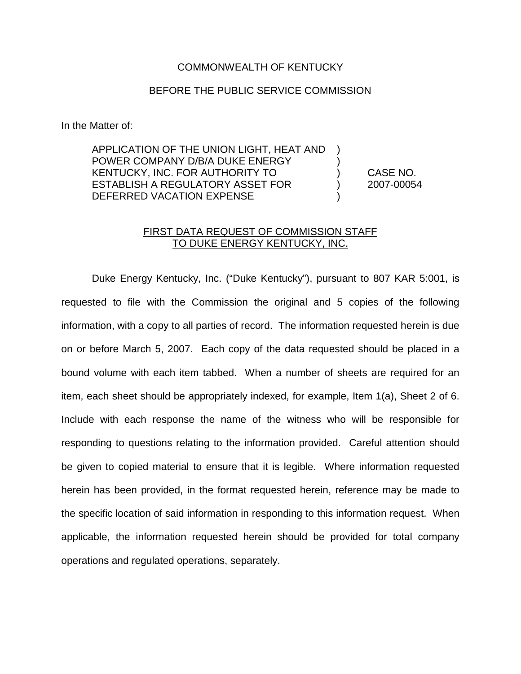## COMMONWEALTH OF KENTUCKY

## BEFORE THE PUBLIC SERVICE COMMISSION

In the Matter of:

APPLICATION OF THE UNION LIGHT, HEAT AND ) POWER COMPANY D/B/A DUKE ENERGY KENTUCKY, INC. FOR AUTHORITY TO ) CASE NO. ESTABLISH A REGULATORY ASSET FOR (2007-00054 DEFERRED VACATION EXPENSE

## FIRST DATA REQUEST OF COMMISSION STAFF TO DUKE ENERGY KENTUCKY, INC.

Duke Energy Kentucky, Inc. ("Duke Kentucky"), pursuant to 807 KAR 5:001, is requested to file with the Commission the original and 5 copies of the following information, with a copy to all parties of record. The information requested herein is due on or before March 5, 2007. Each copy of the data requested should be placed in a bound volume with each item tabbed. When a number of sheets are required for an item, each sheet should be appropriately indexed, for example, Item 1(a), Sheet 2 of 6. Include with each response the name of the witness who will be responsible for responding to questions relating to the information provided. Careful attention should be given to copied material to ensure that it is legible. Where information requested herein has been provided, in the format requested herein, reference may be made to the specific location of said information in responding to this information request. When applicable, the information requested herein should be provided for total company operations and regulated operations, separately.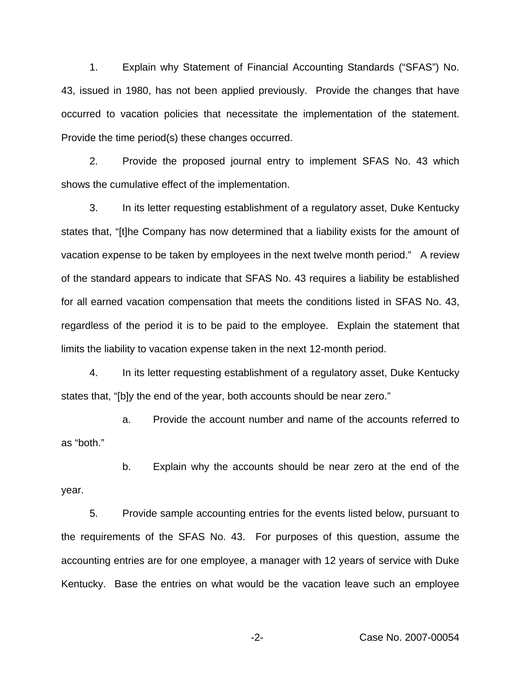1. Explain why Statement of Financial Accounting Standards ("SFAS") No. 43, issued in 1980, has not been applied previously. Provide the changes that have occurred to vacation policies that necessitate the implementation of the statement. Provide the time period(s) these changes occurred.

2. Provide the proposed journal entry to implement SFAS No. 43 which shows the cumulative effect of the implementation.

3. In its letter requesting establishment of a regulatory asset, Duke Kentucky states that, "[t]he Company has now determined that a liability exists for the amount of vacation expense to be taken by employees in the next twelve month period." A review of the standard appears to indicate that SFAS No. 43 requires a liability be established for all earned vacation compensation that meets the conditions listed in SFAS No. 43, regardless of the period it is to be paid to the employee. Explain the statement that limits the liability to vacation expense taken in the next 12-month period.

4. In its letter requesting establishment of a regulatory asset, Duke Kentucky states that, "[b]y the end of the year, both accounts should be near zero."

a. Provide the account number and name of the accounts referred to as "both."

b. Explain why the accounts should be near zero at the end of the year.

5. Provide sample accounting entries for the events listed below, pursuant to the requirements of the SFAS No. 43. For purposes of this question, assume the accounting entries are for one employee, a manager with 12 years of service with Duke Kentucky. Base the entries on what would be the vacation leave such an employee

-2- Case No. 2007-00054